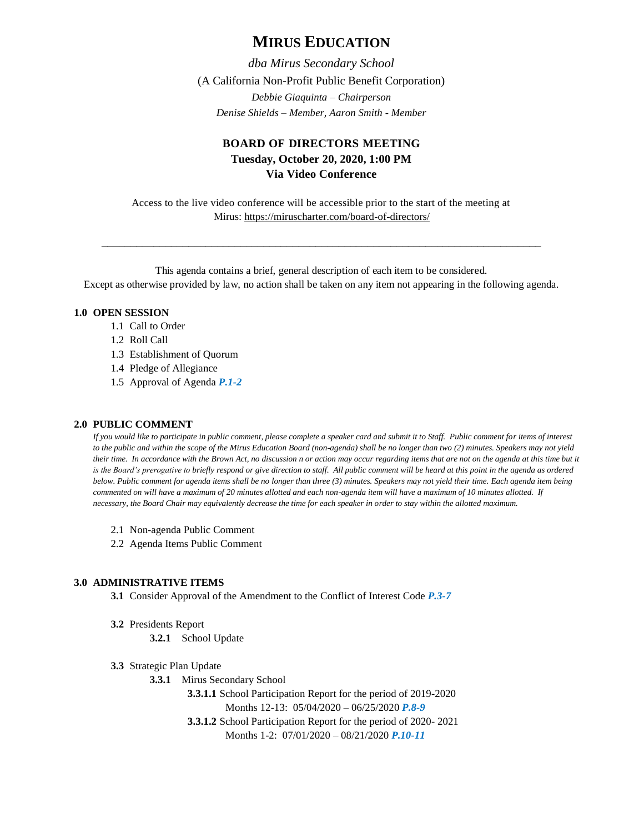# **MIRUS EDUCATION**

*dba Mirus Secondary School* (A California Non-Profit Public Benefit Corporation) *Debbie Giaquinta – Chairperson Denise Shields – Member, Aaron Smith - Member*

## **BOARD OF DIRECTORS MEETING Tuesday, October 20, 2020, 1:00 PM Via Video Conference**

Access to the live video conference will be accessible prior to the start of the meeting at Mirus:<https://miruscharter.com/board-of-directors/>

\_\_\_\_\_\_\_\_\_\_\_\_\_\_\_\_\_\_\_\_\_\_\_\_\_\_\_\_\_\_\_\_\_\_\_\_\_\_\_\_\_\_\_\_\_\_\_\_\_\_\_\_\_\_\_\_\_\_\_\_\_\_\_\_\_\_\_\_\_\_\_\_\_\_\_\_

This agenda contains a brief, general description of each item to be considered. Except as otherwise provided by law, no action shall be taken on any item not appearing in the following agenda.

### **1.0 OPEN SESSION**

- 1.1 Call to Order
- 1.2 Roll Call
- 1.3 Establishment of Quorum
- 1.4 Pledge of Allegiance
- 1.5 Approval of Agenda *P.1-2*

### **2.0 PUBLIC COMMENT**

*If you would like to participate in public comment, please complete a speaker card and submit it to Staff. Public comment for items of interest to the public and within the scope of the Mirus Education Board (non-agenda) shall be no longer than two (2) minutes. Speakers may not yield their time. In accordance with the Brown Act, no discussion n or action may occur regarding items that are not on the agenda at this time but it*  is the Board's prerogative to briefly respond or give direction to staff. All public comment will be heard at this point in the agenda as ordered *below. Public comment for agenda items shall be no longer than three (3) minutes. Speakers may not yield their time. Each agenda item being commented on will have a maximum of 20 minutes allotted and each non-agenda item will have a maximum of 10 minutes allotted. If necessary, the Board Chair may equivalently decrease the time for each speaker in order to stay within the allotted maximum.*

- 2.1 Non-agenda Public Comment
- 2.2 Agenda Items Public Comment

#### **3.0 ADMINISTRATIVE ITEMS**

**3.1** Consider Approval of the Amendment to the Conflict of Interest Code *P.3-7*

**3.2** Presidents Report

**3.2.1** School Update

- **3.3** Strategic Plan Update
	- **3.3.1** Mirus Secondary School

**3.3.1.1** School Participation Report for the period of 2019-2020 Months 12-13: 05/04/2020 – 06/25/2020 *P.8-9* **3.3.1.2** School Participation Report for the period of 2020- 2021 Months 1-2: 07/01/2020 – 08/21/2020 *P.10-11*